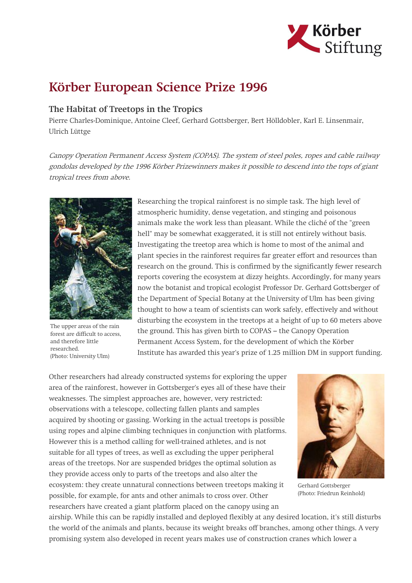

## Körber European Science Prize 1996

## The Habitat of Treetops in the Tropics

Pierre Charles-Dominique, Antoine Cleef, Gerhard Gottsberger, Bert Hölldobler, Karl E. Linsenmair, Ulrich Lüttge

Canopy Operation Permanent Access System (COPAS). The system of steel poles, ropes and cable railway gondolas developed by the 1996 Körber Prizewinners makes it possible to descend into the tops of giant tropical trees from above.



The upper areas of the rain forest are difficult to access, and therefore little researched. (Photo: University Ulm)

Researching the tropical rainforest is no simple task. The high level of atmospheric humidity, dense vegetation, and stinging and poisonous animals make the work less than pleasant. While the cliché of the "green hell" may be somewhat exaggerated, it is still not entirely without basis. Investigating the treetop area which is home to most of the animal and plant species in the rainforest requires far greater effort and resources than research on the ground. This is confirmed by the significantly fewer research reports covering the ecosystem at dizzy heights. Accordingly, for many years now the botanist and tropical ecologist Professor Dr. Gerhard Gottsberger of the Department of Special Botany at the University of Ulm has been giving thought to how a team of scientists can work safely, effectively and without disturbing the ecosystem in the treetops at a height of up to 60 meters above the ground. This has given birth to COPAS – the Canopy Operation Permanent Access System, for the development of which the Körber Institute has awarded this year's prize of 1.25 million DM in support funding.

Other researchers had already constructed systems for exploring the upper area of the rainforest, however in Gottsberger's eyes all of these have their weaknesses. The simplest approaches are, however, very restricted: observations with a telescope, collecting fallen plants and samples acquired by shooting or gassing. Working in the actual treetops is possible using ropes and alpine climbing techniques in conjunction with platforms. However this is a method calling for well-trained athletes, and is not suitable for all types of trees, as well as excluding the upper peripheral areas of the treetops. Nor are suspended bridges the optimal solution as they provide access only to parts of the treetops and also alter the ecosystem: they create unnatural connections between treetops making it possible, for example, for ants and other animals to cross over. Other researchers have created a giant platform placed on the canopy using an



Gerhard Gottsberger (Photo: Friedrun Reinhold)

airship. While this can be rapidly installed and deployed flexibly at any desired location, it's still disturbs the world of the animals and plants, because its weight breaks off branches, among other things. A very promising system also developed in recent years makes use of construction cranes which lower a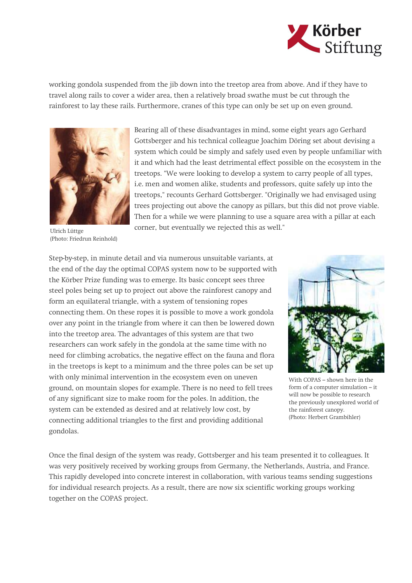

working gondola suspended from the jib down into the treetop area from above. And if they have to travel along rails to cover a wider area, then a relatively broad swathe must be cut through the rainforest to lay these rails. Furthermore, cranes of this type can only be set up on even ground.



Bearing all of these disadvantages in mind, some eight years ago Gerhard Gottsberger and his technical colleague Joachim Döring set about devising a system which could be simply and safely used even by people unfamiliar with it and which had the least detrimental effect possible on the ecosystem in the treetops. "We were looking to develop a system to carry people of all types, i.e. men and women alike, students and professors, quite safely up into the treetops," recounts Gerhard Gottsberger. "Originally we had envisaged using trees projecting out above the canopy as pillars, but this did not prove viable. Then for a while we were planning to use a square area with a pillar at each corner, but eventually we rejected this as well."

Ulrich Lüttge (Photo: Friedrun Reinhold)

Step-by-step, in minute detail and via numerous unsuitable variants, at the end of the day the optimal COPAS system now to be supported with the Körber Prize funding was to emerge. Its basic concept sees three steel poles being set up to project out above the rainforest canopy and form an equilateral triangle, with a system of tensioning ropes connecting them. On these ropes it is possible to move a work gondola over any point in the triangle from where it can then be lowered down into the treetop area. The advantages of this system are that two researchers can work safely in the gondola at the same time with no need for climbing acrobatics, the negative effect on the fauna and flora in the treetops is kept to a minimum and the three poles can be set up with only minimal intervention in the ecosystem even on uneven ground, on mountain slopes for example. There is no need to fell trees of any significant size to make room for the poles. In addition, the system can be extended as desired and at relatively low cost, by connecting additional triangles to the first and providing additional gondolas.



With COPAS – shown here in the form of a computer simulation – it will now be possible to research the previously unexplored world of the rainforest canopy. (Photo: Herbert Grambihler)

Once the final design of the system was ready, Gottsberger and his team presented it to colleagues. It was very positively received by working groups from Germany, the Netherlands, Austria, and France. This rapidly developed into concrete interest in collaboration, with various teams sending suggestions for individual research projects. As a result, there are now six scientific working groups working together on the COPAS project.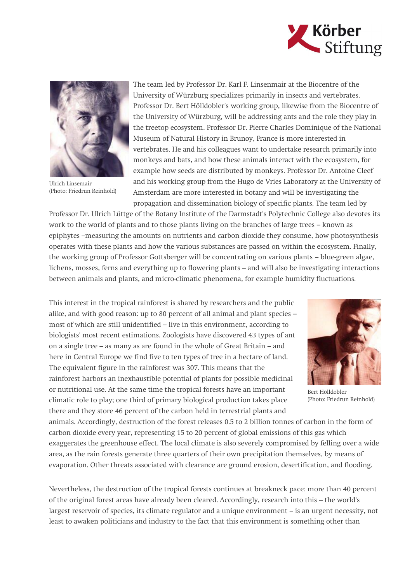



Ulrich Linsemair (Photo: Friedrun Reinhold)

The team led by Professor Dr. Karl F. Linsenmair at the Biocentre of the University of Würzburg specializes primarily in insects and vertebrates. Professor Dr. Bert Hölldobler's working group, likewise from the Biocentre of the University of Würzburg, will be addressing ants and the role they play in the treetop ecosystem. Professor Dr. Pierre Charles Dominique of the National Museum of Natural History in Brunoy, France is more interested in vertebrates. He and his colleagues want to undertake research primarily into monkeys and bats, and how these animals interact with the ecosystem, for example how seeds are distributed by monkeys. Professor Dr. Antoine Cleef and his working group from the Hugo de Vries Laboratory at the University of Amsterdam are more interested in botany and will be investigating the propagation and dissemination biology of specific plants. The team led by

Professor Dr. Ulrich Lüttge of the Botany Institute of the Darmstadt's Polytechnic College also devotes its work to the world of plants and to those plants living on the branches of large trees – known as epiphytes –measuring the amounts on nutrients and carbon dioxide they consume, how photosynthesis operates with these plants and how the various substances are passed on within the ecosystem. Finally, the working group of Professor Gottsberger will be concentrating on various plants  $-$  blue-green algae, lichens, mosses, ferns and everything up to flowering plants – and will also be investigating interactions between animals and plants, and micro-climatic phenomena, for example humidity fluctuations.

This interest in the tropical rainforest is shared by researchers and the public alike, and with good reason: up to 80 percent of all animal and plant species – most of which are still unidentified – live in this environment, according to biologists' most recent estimations. Zoologists have discovered 43 types of ant on a single tree – as many as are found in the whole of Great Britain – and here in Central Europe we find five to ten types of tree in a hectare of land. The equivalent figure in the rainforest was 307. This means that the rainforest harbors an inexhaustible potential of plants for possible medicinal or nutritional use. At the same time the tropical forests have an important climatic role to play; one third of primary biological production takes place there and they store 46 percent of the carbon held in terrestrial plants and



Bert Hölldobler (Photo: Friedrun Reinhold)

animals. Accordingly, destruction of the forest releases 0.5 to 2 billion tonnes of carbon in the form of carbon dioxide every year, representing 15 to 20 percent of global emissions of this gas which exaggerates the greenhouse effect. The local climate is also severely compromised by felling over a wide area, as the rain forests generate three quarters of their own precipitation themselves, by means of evaporation. Other threats associated with clearance are ground erosion, desertification, and flooding.

Nevertheless, the destruction of the tropical forests continues at breakneck pace: more than 40 percent of the original forest areas have already been cleared. Accordingly, research into this – the world's largest reservoir of species, its climate regulator and a unique environment – is an urgent necessity, not least to awaken politicians and industry to the fact that this environment is something other than